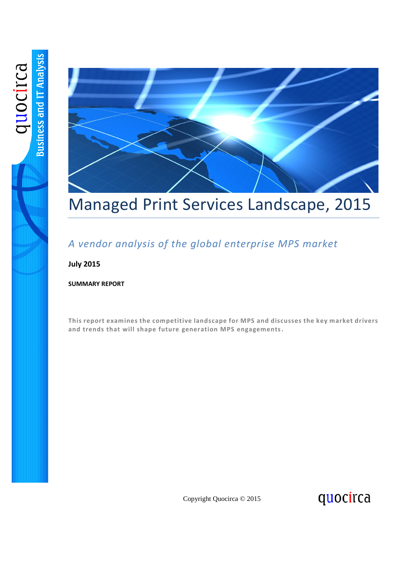

## Managed Print Services Landscape, 2015

### *A vendor analysis of the global enterprise MPS market*

**July 2015**

**SUMMARY REPORT**

**This report examines the competitive landscape for MPS and discusses the key market drivers and trends that will shape future generation MPS engagements.** 

Copyright Quocirca © 2015

quocirca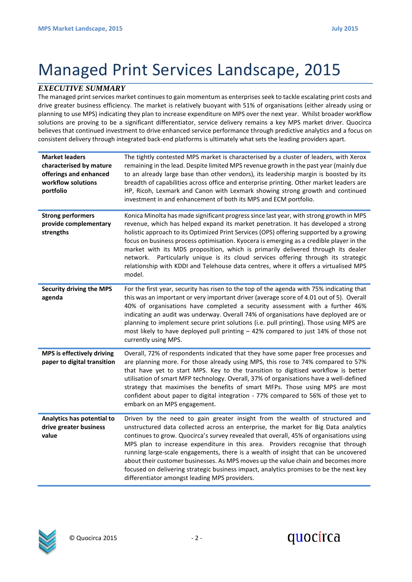# Managed Print Services Landscape, 2015

### *EXECUTIVE SUMMARY*

The managed print services market continues to gain momentum as enterprises seek to tackle escalating print costs and drive greater business efficiency. The market is relatively buoyant with 51% of organisations (either already using or planning to use MPS) indicating they plan to increase expenditure on MPS over the next year. Whilst broader workflow solutions are proving to be a significant differentiator, service delivery remains a key MPS market driver. Quocirca believes that continued investment to drive enhanced service performance through predictive analytics and a focus on consistent delivery through integrated back-end platforms is ultimately what sets the leading providers apart.

| <b>Market leaders</b><br>characterised by mature<br>offerings and enhanced<br>workflow solutions<br>portfolio | The tightly contested MPS market is characterised by a cluster of leaders, with Xerox<br>remaining in the lead. Despite limited MPS revenue growth in the past year (mainly due<br>to an already large base than other vendors), its leadership margin is boosted by its<br>breadth of capabilities across office and enterprise printing. Other market leaders are<br>HP, Ricoh, Lexmark and Canon with Lexmark showing strong growth and continued<br>investment in and enhancement of both its MPS and ECM portfolio.                                                                                                                                                |
|---------------------------------------------------------------------------------------------------------------|-------------------------------------------------------------------------------------------------------------------------------------------------------------------------------------------------------------------------------------------------------------------------------------------------------------------------------------------------------------------------------------------------------------------------------------------------------------------------------------------------------------------------------------------------------------------------------------------------------------------------------------------------------------------------|
| <b>Strong performers</b><br>provide complementary<br>strengths                                                | Konica Minolta has made significant progress since last year, with strong growth in MPS<br>revenue, which has helped expand its market penetration. It has developed a strong<br>holistic approach to its Optimized Print Services (OPS) offering supported by a growing<br>focus on business process optimisation. Kyocera is emerging as a credible player in the<br>market with its MDS proposition, which is primarily delivered through its dealer<br>Particularly unique is its cloud services offering through its strategic<br>network.<br>relationship with KDDI and Telehouse data centres, where it offers a virtualised MPS<br>model.                       |
| <b>Security driving the MPS</b><br>agenda                                                                     | For the first year, security has risen to the top of the agenda with 75% indicating that<br>this was an important or very important driver (average score of 4.01 out of 5). Overall<br>40% of organisations have completed a security assessment with a further 46%<br>indicating an audit was underway. Overall 74% of organisations have deployed are or<br>planning to implement secure print solutions (i.e. pull printing). Those using MPS are<br>most likely to have deployed pull printing - 42% compared to just 14% of those not<br>currently using MPS.                                                                                                     |
| MPS is effectively driving<br>paper to digital transition                                                     | Overall, 72% of respondents indicated that they have some paper free processes and<br>are planning more. For those already using MPS, this rose to 74% compared to 57%<br>that have yet to start MPS. Key to the transition to digitised workflow is better<br>utilisation of smart MFP technology. Overall, 37% of organisations have a well-defined<br>strategy that maximises the benefits of smart MFPs. Those using MPS are most<br>confident about paper to digital integration - 77% compared to 56% of those yet to<br>embark on an MPS engagement.                                                                                                             |
| Analytics has potential to<br>drive greater business<br>value                                                 | Driven by the need to gain greater insight from the wealth of structured and<br>unstructured data collected across an enterprise, the market for Big Data analytics<br>continues to grow. Quocirca's survey revealed that overall, 45% of organisations using<br>MPS plan to increase expenditure in this area. Providers recognise that through<br>running large-scale engagements, there is a wealth of insight that can be uncovered<br>about their customer businesses. As MPS moves up the value chain and becomes more<br>focused on delivering strategic business impact, analytics promises to be the next key<br>differentiator amongst leading MPS providers. |



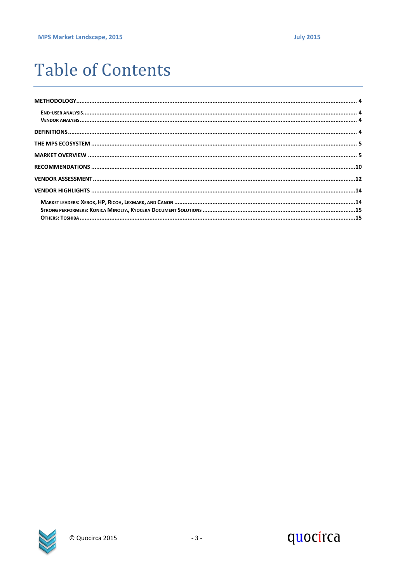# **Table of Contents**



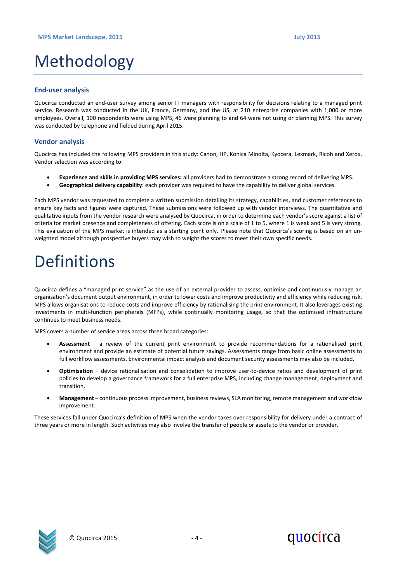# <span id="page-3-0"></span>Methodology

### <span id="page-3-1"></span>**End-user analysis**

Quocirca conducted an end-user survey among senior IT managers with responsibility for decisions relating to a managed print service. Research was conducted in the UK, France, Germany, and the US, at 210 enterprise companies with 1,000 or more employees. Overall, 100 respondents were using MPS, 46 were planning to and 64 were not using or planning MPS. This survey was conducted by telephone and fielded during April 2015.

### <span id="page-3-2"></span>**Vendor analysis**

Quocirca has included the following MPS providers in this study: Canon, HP, Konica Minolta, Kyocera, Lexmark, Ricoh and Xerox. Vendor selection was according to:

- **Experience and skills in providing MPS services:** all providers had to demonstrate a strong record of delivering MPS.
- **Geographical delivery capability**: each provider was required to have the capability to deliver global services.

Each MPS vendor was requested to complete a written submission detailing its strategy, capabilities, and customer references to ensure key facts and figures were captured. These submissions were followed up with vendor interviews. The quantitative and qualitative inputs from the vendor research were analysed by Quocirca, in order to determine each vendor's score against a list of criteria for market presence and completeness of offering. Each score is on a scale of 1 to 5, where 1 is weak and 5 is very strong. This evaluation of the MPS market is intended as a starting point only. Please note that Quocirca's scoring is based on an unweighted model although prospective buyers may wish to weight the scores to meet their own specific needs.

### <span id="page-3-3"></span>Definitions

Quocirca defines a "managed print service" as the use of an external provider to assess, optimise and continuously manage an organisation's document output environment, in order to lower costs and improve productivity and efficiency while reducing risk. MPS allows organisations to reduce costs and improve efficiency by rationalising the print environment. It also leverages existing investments in multi-function peripherals (MFPs), while continually monitoring usage, so that the optimised infrastructure continues to meet business needs.

MPS covers a number of service areas across three broad categories:

- **Assessment** a review of the current print environment to provide recommendations for a rationalised print environment and provide an estimate of potential future savings. Assessments range from basic online assessments to full workflow assessments. Environmental impact analysis and document security assessments may also be included.
- **Optimisation** device rationalisation and consolidation to improve user-to-device ratios and development of print policies to develop a governance framework for a full enterprise MPS, including change management, deployment and transition.
- **Management**  continuous process improvement, business reviews, SLA monitoring, remote management and workflow improvement.

These services fall under Quocirca's definition of MPS when the vendor takes over responsibility for delivery under a contract of three years or more in length. Such activities may also involve the transfer of people or assets to the vendor or provider.



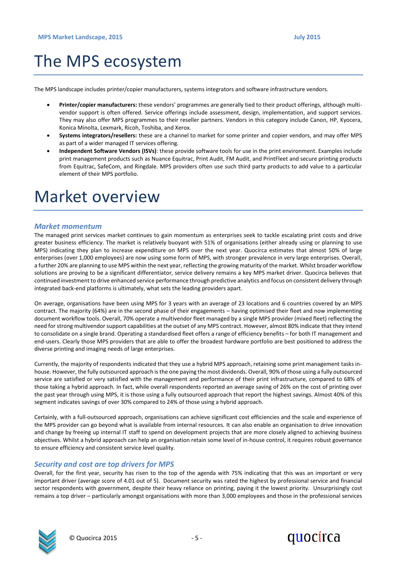## <span id="page-4-0"></span>The MPS ecosystem

The MPS landscape includes printer/copier manufacturers, systems integrators and software infrastructure vendors.

- **Printer/copier manufacturers:** these vendors' programmes are generally tied to their product offerings, although multivendor support is often offered. Service offerings include assessment, design, implementation, and support services. They may also offer MPS programmes to their reseller partners. Vendors in this category include Canon, HP, Kyocera, Konica Minolta, Lexmark, Ricoh, Toshiba, and Xerox.
- **Systems integrators/resellers:** these are a channel to market for some printer and copier vendors, and may offer MPS as part of a wider managed IT services offering.
- **Independent Software Vendors (ISVs)**: these provide software tools for use in the print environment. Examples include print management products such as Nuance Equitrac, Print Audit, FM Audit, and PrintFleet and secure printing products from Equitrac, SafeCom, and Ringdale. MPS providers often use such third party products to add value to a particular element of their MPS portfolio.

### <span id="page-4-1"></span>Market overview

#### *Market momentum*

The managed print services market continues to gain momentum as enterprises seek to tackle escalating print costs and drive greater business efficiency. The market is relatively buoyant with 51% of organisations (either already using or planning to use MPS) indicating they plan to increase expenditure on MPS over the next year. Quocirca estimates that almost 50% of large enterprises (over 1,000 employees) are now using some form of MPS, with stronger prevalence in very large enterprises. Overall, a further 20% are planning to use MPS within the next year, reflecting the growing maturity of the market. Whilst broader workflow solutions are proving to be a significant differentiator, service delivery remains a key MPS market driver. Quocirca believes that continued investment to drive enhanced service performance through predictive analytics and focus on consistent delivery through integrated back-end platforms is ultimately, what sets the leading providers apart.

On average, organisations have been using MPS for 3 years with an average of 23 locations and 6 countries covered by an MPS contract. The majority (64%) are in the second phase of their engagements – having optimised their fleet and now implementing document workflow tools. Overall, 70% operate a multivendor fleet managed by a single MPS provider (mixed fleet) reflecting the need for strong multivendor support capabilities at the outset of any MPS contract. However, almost 80% indicate that they intend to consolidate on a single brand. Operating a standardised fleet offers a range of efficiency benefits – for both IT management and end-users. Clearly those MPS providers that are able to offer the broadest hardware portfolio are best positioned to address the diverse printing and imaging needs of large enterprises.

Currently, the majority of respondents indicated that they use a hybrid MPS approach, retaining some print management tasks inhouse. However, the fully outsourced approach is the one paying the most dividends. Overall, 90% of those using a fully outsourced service are satisfied or very satisfied with the management and performance of their print infrastructure, compared to 68% of those taking a hybrid approach. In fact, while overall respondents reported an average saving of 26% on the cost of printing over the past year through using MPS, it is those using a fully outsourced approach that report the highest savings. Almost 40% of this segment indicates savings of over 30% compared to 24% of those using a hybrid approach.

Certainly, with a full-outsourced approach, organisations can achieve significant cost efficiencies and the scale and experience of the MPS provider can go beyond what is available from internal resources. It can also enable an organisation to drive innovation and change by freeing up internal IT staff to spend on development projects that are more closely aligned to achieving business objectives. Whilst a hybrid approach can help an organisation retain some level of in-house control, it requires robust governance to ensure efficiency and consistent service level quality.

#### *Security and cost are top drivers for MPS*

Overall, for the first year, security has risen to the top of the agenda with 75% indicating that this was an important or very important driver (average score of 4.01 out of 5). Document security was rated the highest by professional service and financial sector respondents with government, despite their heavy reliance on printing, paying it the lowest priority. Unsurprisingly cost remains a top driver – particularly amongst organisations with more than 3,000 employees and those in the professional services



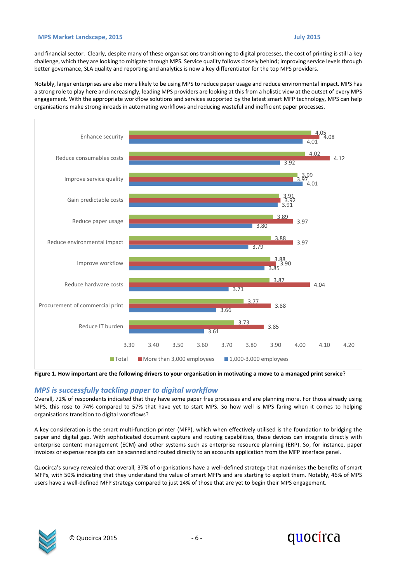and financial sector. Clearly, despite many of these organisations transitioning to digital processes, the cost of printing is still a key challenge, which they are looking to mitigate through MPS. Service quality follows closely behind; improving service levels through better governance, SLA quality and reporting and analytics is now a key differentiator for the top MPS providers.

Notably, larger enterprises are also more likely to be using MPS to reduce paper usage and reduce environmental impact. MPS has a strong role to play here and increasingly, leading MPS providers are looking at this from a holistic view at the outset of every MPS engagement. With the appropriate workflow solutions and services supported by the latest smart MFP technology, MPS can help organisations make strong inroads in automating workflows and reducing wasteful and inefficient paper processes.



**Figure 1. How important are the following drivers to your organisation in motivating a move to a managed print service**?

#### *MPS is successfully tackling paper to digital workflow*

Overall, 72% of respondents indicated that they have some paper free processes and are planning more. For those already using MPS, this rose to 74% compared to 57% that have yet to start MPS. So how well is MPS faring when it comes to helping organisations transition to digital workflows?

A key consideration is the smart multi-function printer (MFP), which when effectively utilised is the foundation to bridging the paper and digital gap. With sophisticated document capture and routing capabilities, these devices can integrate directly with enterprise content management (ECM) and other systems such as enterprise resource planning (ERP). So, for instance, paper invoices or expense receipts can be scanned and routed directly to an accounts application from the MFP interface panel.

Quocirca's survey revealed that overall, 37% of organisations have a well-defined strategy that maximises the benefits of smart MFPs, with 50% indicating that they understand the value of smart MFPs and are starting to exploit them. Notably, 46% of MPS users have a well-defined MFP strategy compared to just 14% of those that are yet to begin their MPS engagement.



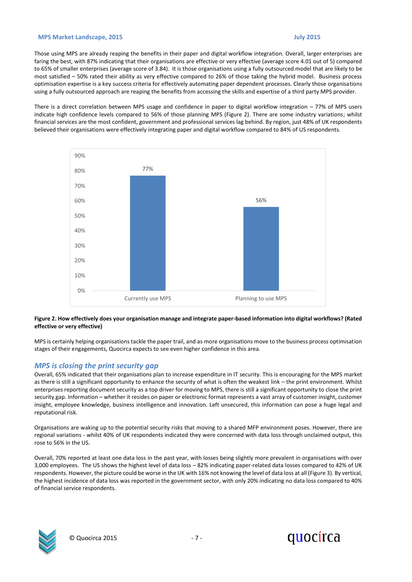Those using MPS are already reaping the benefits in their paper and digital workflow integration. Overall, larger enterprises are faring the best, with 87% indicating that their organisations are effective or very effective (average score 4.01 out of 5) compared to 65% of smaller enterprises (average score of 3.84). It is those organisations using a fully outsourced model that are likely to be most satisfied – 50% rated their ability as very effective compared to 26% of those taking the hybrid model. Business process optimisation expertise is a key success criteria for effectively automating paper dependent processes. Clearly those organisations using a fully outsourced approach are reaping the benefits from accessing the skills and expertise of a third party MPS provider.

There is a direct correlation between MPS usage and confidence in paper to digital workflow integration – 77% of MPS users indicate high confidence levels compared to 56% of those planning MPS (Figure 2). There are some industry variations; whilst financial services are the most confident, government and professional services lag behind. By region, just 48% of UK respondents believed their organisations were effectively integrating paper and digital workflow compared to 84% of US respondents.



#### **Figure 2. How effectively does your organisation manage and integrate paper-based information into digital workflows? (Rated effective or very effective)**

MPS is certainly helping organisations tackle the paper trail, and as more organisations move to the business process optimisation stages of their engagements, Quocirca expects to see even higher confidence in this area.

#### *MPS is closing the print security gap*

Overall, 65% indicated that their organisations plan to increase expenditure in IT security. This is encouraging for the MPS market as there is still a significant opportunity to enhance the security of what is often the weakest link – the print environment. Whilst enterprises reporting document security as a top driver for moving to MPS, there is still a significant opportunity to close the print security gap. Information – whether it resides on paper or electronic format represents a vast array of customer insight, customer insight, employee knowledge, business intelligence and innovation. Left unsecured, this information can pose a huge legal and reputational risk.

Organisations are waking up to the potential security risks that moving to a shared MFP environment poses. However, there are regional variations - whilst 40% of UK respondents indicated they were concerned with data loss through unclaimed output, this rose to 56% in the US.

Overall, 70% reported at least one data loss in the past year, with losses being slightly more prevalent in organisations with over 3,000 employees. The US shows the highest level of data loss – 82% indicating paper-related data losses compared to 42% of UK respondents. However, the picture could be worse in the UK with 16% not knowing the level of data loss at all (Figure 3). By vertical, the highest incidence of data loss was reported in the government sector, with only 20% indicating no data loss compared to 40% of financial service respondents.



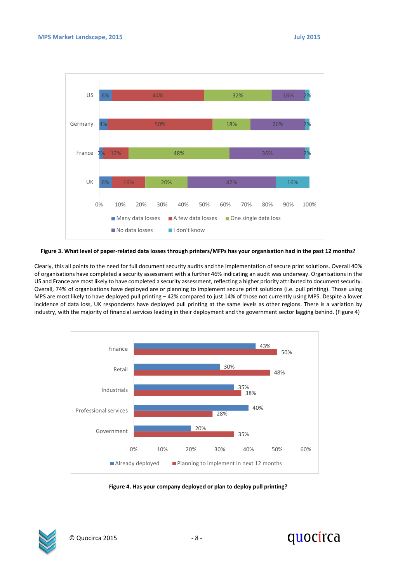

#### **Figure 3. What level of paper-related data losses through printers/MFPs has your organisation had in the past 12 months?**

Clearly, this all points to the need for full document security audits and the implementation of secure print solutions. Overall 40% of organisations have completed a security assessment with a further 46% indicating an audit was underway. Organisations in the US and France are most likely to have completed a security assessment, reflecting a higher priority attributed to document security. Overall, 74% of organisations have deployed are or planning to implement secure print solutions (i.e. pull printing). Those using MPS are most likely to have deployed pull printing – 42% compared to just 14% of those not currently using MPS. Despite a lower incidence of data loss, UK respondents have deployed pull printing at the same levels as other regions. There is a variation by industry, with the majority of financial services leading in their deployment and the government sector lagging behind. (Figure 4)



**Figure 4. Has your company deployed or plan to deploy pull printing?**



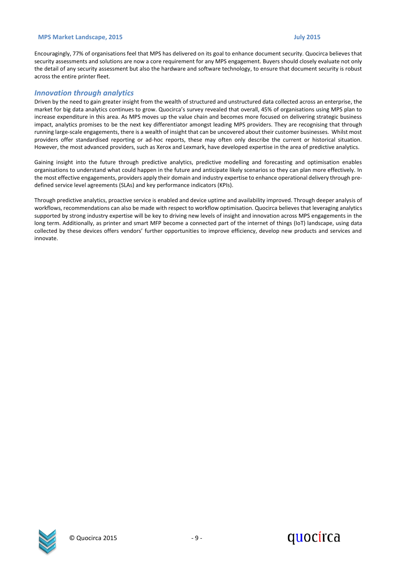Encouragingly, 77% of organisations feel that MPS has delivered on its goal to enhance document security. Quocirca believes that security assessments and solutions are now a core requirement for any MPS engagement. Buyers should closely evaluate not only the detail of any security assessment but also the hardware and software technology, to ensure that document security is robust across the entire printer fleet.

### *Innovation through analytics*

Driven by the need to gain greater insight from the wealth of structured and unstructured data collected across an enterprise, the market for big data analytics continues to grow. Quocirca's survey revealed that overall, 45% of organisations using MPS plan to increase expenditure in this area. As MPS moves up the value chain and becomes more focused on delivering strategic business impact, analytics promises to be the next key differentiator amongst leading MPS providers. They are recognising that through running large-scale engagements, there is a wealth of insight that can be uncovered about their customer businesses. Whilst most providers offer standardised reporting or ad-hoc reports, these may often only describe the current or historical situation. However, the most advanced providers, such as Xerox and Lexmark, have developed expertise in the area of predictive analytics.

Gaining insight into the future through predictive analytics, predictive modelling and forecasting and optimisation enables organisations to understand what could happen in the future and anticipate likely scenarios so they can plan more effectively. In the most effective engagements, providers apply their domain and industry expertise to enhance operational delivery through predefined service level agreements (SLAs) and key performance indicators (KPIs).

Through predictive analytics, proactive service is enabled and device uptime and availability improved. Through deeper analysis of workflows, recommendations can also be made with respect to workflow optimisation. Quocirca believes that leveraging analytics supported by strong industry expertise will be key to driving new levels of insight and innovation across MPS engagements in the long term. Additionally, as printer and smart MFP become a connected part of the internet of things (IoT) landscape, using data collected by these devices offers vendors' further opportunities to improve efficiency, develop new products and services and innovate.



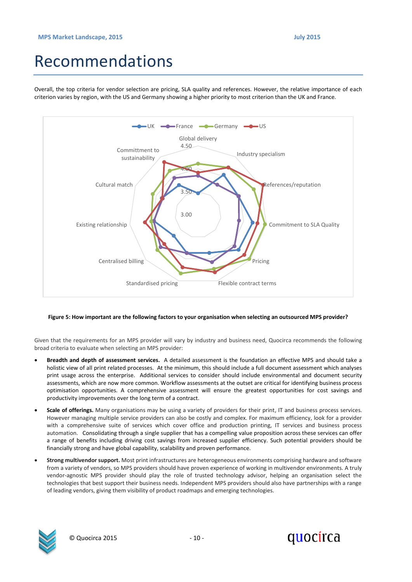### <span id="page-9-0"></span>Recommendations

Overall, the top criteria for vendor selection are pricing, SLA quality and references. However, the relative importance of each criterion varies by region, with the US and Germany showing a higher priority to most criterion than the UK and France.



#### **Figure 5: How important are the following factors to your organisation when selecting an outsourced MPS provider?**

Given that the requirements for an MPS provider will vary by industry and business need, Quocirca recommends the following broad criteria to evaluate when selecting an MPS provider:

- **Breadth and depth of assessment services.** A detailed assessment is the foundation an effective MPS and should take a holistic view of all print related processes. At the minimum, this should include a full document assessment which analyses print usage across the enterprise. Additional services to consider should include environmental and document security assessments, which are now more common. Workflow assessments at the outset are critical for identifying business process optimisation opportunities. A comprehensive assessment will ensure the greatest opportunities for cost savings and productivity improvements over the long term of a contract.
- **Scale of offerings.** Many organisations may be using a variety of providers for their print, IT and business process services. However managing multiple service providers can also be costly and complex. For maximum efficiency, look for a provider with a comprehensive suite of services which cover office and production printing, IT services and business process automation. Consolidating through a single supplier that has a compelling value proposition across these services can offer a range of benefits including driving cost savings from increased supplier efficiency. Such potential providers should be financially strong and have global capability, scalability and proven performance.
- **Strong multivendor support.** Most print infrastructures are heterogeneous environments comprising hardware and software from a variety of vendors, so MPS providers should have proven experience of working in multivendor environments. A truly vendor-agnostic MPS provider should play the role of trusted technology advisor, helping an organisation select the technologies that best support their business needs. Independent MPS providers should also have partnerships with a range of leading vendors, giving them visibility of product roadmaps and emerging technologies.



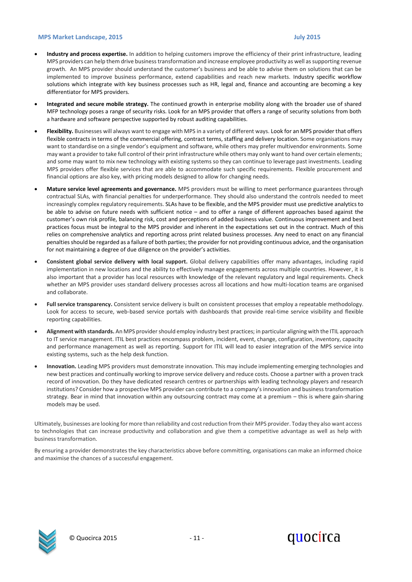- **Industry and process expertise.** In addition to helping customers improve the efficiency of their print infrastructure, leading MPS providers can help them drive business transformation and increase employee productivity as well as supporting revenue growth. An MPS provider should understand the customer's business and be able to advise them on solutions that can be implemented to improve business performance, extend capabilities and reach new markets. Industry specific workflow solutions which integrate with key business processes such as HR, legal and, finance and accounting are becoming a key differentiator for MPS providers.
- **Integrated and secure mobile strategy.** The continued growth in enterprise mobility along with the broader use of shared MFP technology poses a range of security risks. Look for an MPS provider that offers a range of security solutions from both a hardware and software perspective supported by robust auditing capabilities.
- **Flexibility.** Businesses will always want to engage with MPS in a variety of different ways. Look for an MPS provider that offers flexible contracts in terms of the commercial offering, contract terms, staffing and delivery location. Some organisations may want to standardise on a single vendor's equipment and software, while others may prefer multivendor environments. Some may want a provider to take full control of their print infrastructure while others may only want to hand over certain elements; and some may want to mix new technology with existing systems so they can continue to leverage past investments. Leading MPS providers offer flexible services that are able to accommodate such specific requirements. Flexible procurement and financial options are also key, with pricing models designed to allow for changing needs.
- **Mature service level agreements and governance.** MPS providers must be willing to meet performance guarantees through contractual SLAs, with financial penalties for underperformance. They should also understand the controls needed to meet increasingly complex regulatory requirements. SLAs have to be flexible, and the MPS provider must use predictive analytics to be able to advise on future needs with sufficient notice – and to offer a range of different approaches based against the customer's own risk profile, balancing risk, cost and perceptions of added business value. Continuous improvement and best practices focus must be integral to the MPS provider and inherent in the expectations set out in the contract. Much of this relies on comprehensive analytics and reporting across print related business processes. Any need to enact on any financial penalties should be regarded as a failure of both parties; the provider for not providing continuous advice, and the organisation for not maintaining a degree of due diligence on the provider's activities.
- **Consistent global service delivery with local support.** Global delivery capabilities offer many advantages, including rapid implementation in new locations and the ability to effectively manage engagements across multiple countries. However, it is also important that a provider has local resources with knowledge of the relevant regulatory and legal requirements. Check whether an MPS provider uses standard delivery processes across all locations and how multi-location teams are organised and collaborate.
- **Full service transparency.** Consistent service delivery is built on consistent processes that employ a repeatable methodology. Look for access to secure, web-based service portals with dashboards that provide real-time service visibility and flexible reporting capabilities.
- **Alignment with standards.** An MPS provider should employ industry best practices; in particular aligning with the ITIL approach to IT service management. ITIL best practices encompass problem, incident, event, change, configuration, inventory, capacity and performance management as well as reporting. Support for ITIL will lead to easier integration of the MPS service into existing systems, such as the help desk function.
- **Innovation.** Leading MPS providers must demonstrate innovation. This may include implementing emerging technologies and new best practices and continually working to improve service delivery and reduce costs. Choose a partner with a proven track record of innovation. Do they have dedicated research centres or partnerships with leading technology players and research institutions? Consider how a prospective MPS provider can contribute to a company's innovation and business transformation strategy. Bear in mind that innovation within any outsourcing contract may come at a premium – this is where gain-sharing models may be used.

Ultimately, businesses are looking for more than reliability and cost reduction from their MPS provider. Today they also want access to technologies that can increase productivity and collaboration and give them a competitive advantage as well as help with business transformation.

By ensuring a provider demonstrates the key characteristics above before committing, organisations can make an informed choice and maximise the chances of a successful engagement.



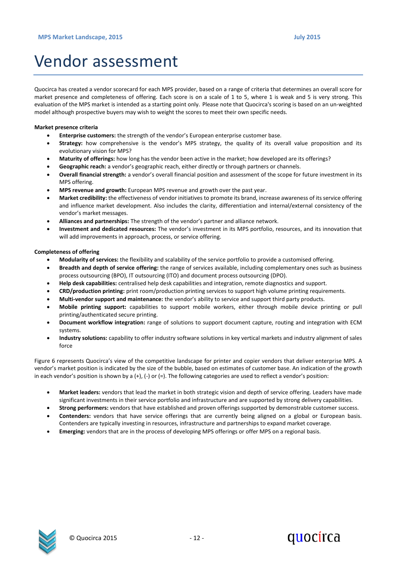## <span id="page-11-0"></span>Vendor assessment

Quocirca has created a vendor scorecard for each MPS provider, based on a range of criteria that determines an overall score for market presence and completeness of offering. Each score is on a scale of 1 to 5, where 1 is weak and 5 is very strong. This evaluation of the MPS market is intended as a starting point only. Please note that Quocirca's scoring is based on an un-weighted model although prospective buyers may wish to weight the scores to meet their own specific needs.

#### **Market presence criteria**

- **Enterprise customers:** the strength of the vendor's European enterprise customer base.
- **Strategy:** how comprehensive is the vendor's MPS strategy, the quality of its overall value proposition and its evolutionary vision for MPS?
- **Maturity of offerings:** how long has the vendor been active in the market; how developed are its offerings?
- **Geographic reach:** a vendor's geographic reach, either directly or through partners or channels.
- **Overall financial strength:** a vendor's overall financial position and assessment of the scope for future investment in its MPS offering.
- **MPS revenue and growth:** European MPS revenue and growth over the past year.
- **Market credibility:** the effectiveness of vendor initiatives to promote its brand, increase awareness of its service offering and influence market development. Also includes the clarity, differentiation and internal/external consistency of the vendor's market messages.
- **Alliances and partnerships:** The strength of the vendor's partner and alliance network.
- **Investment and dedicated resources:** The vendor's investment in its MPS portfolio, resources, and its innovation that will add improvements in approach, process, or service offering.

#### **Completeness of offering**

- **Modularity of services:** the flexibility and scalability of the service portfolio to provide a customised offering.
- **Breadth and depth of service offering:** the range of services available, including complementary ones such as business process outsourcing (BPO), IT outsourcing (ITO) and document process outsourcing (DPO).
- **Help desk capabilities:** centralised help desk capabilities and integration, remote diagnostics and support.
- **CRD/production printing:** print room/production printing services to support high volume printing requirements.
- **Multi-vendor support and maintenance:** the vendor's ability to service and support third party products.
- **Mobile printing support:** capabilities to support mobile workers, either through mobile device printing or pull printing/authenticated secure printing.
- **Document workflow integration:** range of solutions to support document capture, routing and integration with ECM systems.
- **Industry solutions:** capability to offer industry software solutions in key vertical markets and industry alignment of sales force

Figure 6 represents Quocirca's view of the competitive landscape for printer and copier vendors that deliver enterprise MPS. A vendor's market position is indicated by the size of the bubble, based on estimates of customer base. An indication of the growth in each vendor's position is shown by a (+), (-) or (=). The following categories are used to reflect a vendor's position:

- **Market leaders:** vendors that lead the market in both strategic vision and depth of service offering. Leaders have made significant investments in their service portfolio and infrastructure and are supported by strong delivery capabilities.
- **Strong performers:** vendors that have established and proven offerings supported by demonstrable customer success.
- **Contenders:** vendors that have service offerings that are currently being aligned on a global or European basis. Contenders are typically investing in resources, infrastructure and partnerships to expand market coverage.
- **Emerging:** vendors that are in the process of developing MPS offerings or offer MPS on a regional basis.



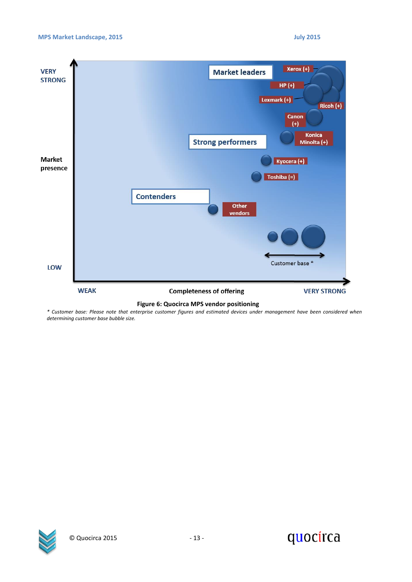

*\* Customer base: Please note that enterprise customer figures and estimated devices under management have been considered when determining customer base bubble size.*



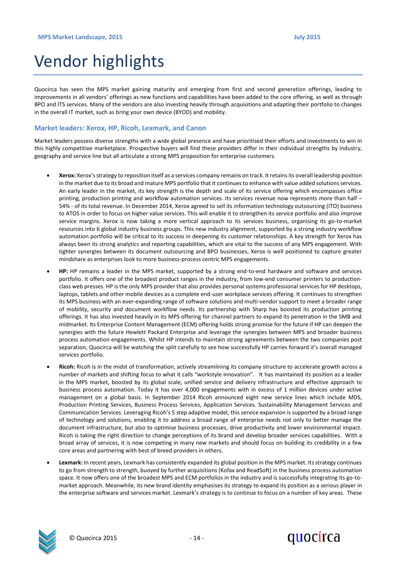# <span id="page-13-0"></span>Vendor highlights

Quocirca has seen the MPS market gaining maturity and emerging from first and second generation offerings, leading to improvements in all vendors' offerings as new functions and capabilities have been added to the core offering, as well as through BPO and ITS services. Many of the vendors are also investing heavily through acquisitions and adapting their portfolio to changes in the overall IT market, such as bring your own device (BYOD) and mobility.

#### <span id="page-13-1"></span>**Market leaders: Xerox, HP, Ricoh, Lexmark, and Canon**

Market leaders possess diverse strengths with a wide global presence and have prioritised their efforts and investments to win in this highly competitive marketplace. Prospective buyers will find these providers differ in their individual strengths by industry, geography and service line but all articulate a strong MPS proposition for enterprise customers.

- **Xerox:** Xerox's strategy to reposition itself as a services company remains on track. It retains its overall leadership position in the market due to its broad and mature MPS portfolio that it continues to enhance with value added solutions services. An early leader in the market, its key strength is the depth and scale of its service offering which encompasses office printing, production printing and workflow automation services. Its services revenue now represents more than half – 54% - of its total revenue. In December 2014, Xerox agreed to sell its information technology outsourcing (ITO) business to ATOS in order to focus on higher value services. This will enable it to strengthen its service portfolio and also improve service margins. Xerox is now taking a more vertical approach to its services business, organising its go-to-market resources into 6 global industry business groups. This new industry alignment, supported by a strong industry workflow automation portfolio will be critical to its success in deepening its customer relationships. A key strength for Xerox has always been its strong analytics and reporting capabilities, which are vital to the success of any MPS engagement. With tighter synergies between its document outsourcing and BPO businesses, Xerox is well positioned to capture greater mindshare as enterprises look to more business-process centric MPS engagements.
- **HP:** HP remains a leader in the MPS market, supported by a strong end-to-end hardware and software and services portfolio. It offers one of the broadest product ranges in the industry, from low-end consumer printers to productionclass web presses. HP is the only MPS provider that also provides personal systems professional services for HP desktops, laptops, tablets and other mobile devices as a complete end-user workplace services offering. It continues to strengthen its MPS business with an ever-expanding range of software solutions and multi-vendor support to meet a broader range of mobility, security and document workflow needs. Its partnership with Sharp has boosted its production printing offerings. It has also invested heavily in its MPS offering for channel partners to expand its penetration in the SMB and midmarket. Its Enterprise Content Management (ECM) offering holds strong promise for the future if HP can deepen the synergies with the future Hewlett Packard Enterprise and leverage the synergies between MPS and broader business process automation engagements. Whilst HP intends to maintain strong agreements between the two companies post separation, Quocirca will be watching the split carefully to see how successfully HP carries forward it's overall managed services portfolio.
- **Ricoh:** Ricoh is in the midst of transformation, actively streamlining its company structure to accelerate growth across a number of markets and shifting focus to what it calls "workstyle innovation". It has maintained its position as a leader in the MPS market, boosted by its global scale, unified service and delivery infrastructure and effective approach to business process automation. Today it has over 4,000 engagements with in excess of 1 million devices under active management on a global basis. In September 2014 Ricoh announced eight new service lines which include MDS, Production Printing Services, Business Process Services, Application Services. Sustainability Management Services and Communication Services. Leveraging Ricoh's 5 step adaptive model, this service expansion is supported by a broad range of technology and solutions, enabling it to address a broad range of enterprise needs not only to better manage the document infrastructure, but also to optimise business processes, drive productivity and lower environmental impact. Ricoh is taking the right direction to change perceptions of its brand and develop broader services capabilities. With a broad array of services, it is now competing in many new markets and should focus on building its credibility in a few core areas and partnering with best of breed providers in others.
- **Lexmark:** In recent years, Lexmark has consistently expanded its global position in the MPS market. Its strategy continues to go from strength to strength, buoyed by further acquisitions (Kofax and ReadSoft) in the business process automation space. It now offers one of the broadest MPS and ECM portfolios in the industry and is successfully integrating its go-tomarket approach. Meanwhile, its new brand identity emphasises its strategy to expand its position as a serious player in the enterprise software and services market. Lexmark's strategy is to continue to focus on a number of key areas. These



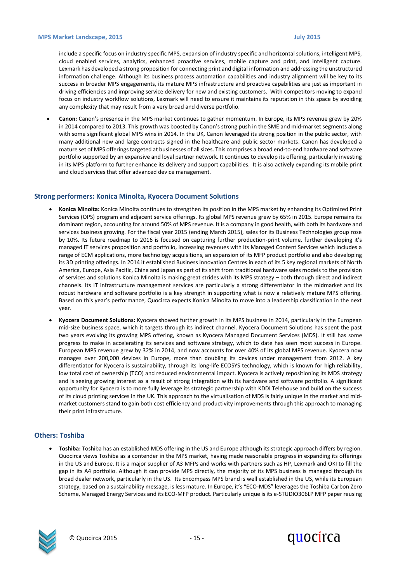include a specific focus on industry specific MPS, expansion of industry specific and horizontal solutions, intelligent MPS, cloud enabled services, analytics, enhanced proactive services, mobile capture and print, and intelligent capture. Lexmark has developed a strong proposition for connecting print and digital information and addressing the unstructured information challenge. Although its business process automation capabilities and industry alignment will be key to its success in broader MPS engagements, its mature MPS infrastructure and proactive capabilities are just as important in driving efficiencies and improving service delivery for new and existing customers. With competitors moving to expand focus on industry workflow solutions, Lexmark will need to ensure it maintains its reputation in this space by avoiding any complexity that may result from a very broad and diverse portfolio.

 **Canon:** Canon's presence in the MPS market continues to gather momentum. In Europe, its MPS revenue grew by 20% in 2014 compared to 2013. This growth was boosted by Canon's strong push in the SME and mid-market segments along with some significant global MPS wins in 2014. In the UK, Canon leveraged its strong position in the public sector, with many additional new and large contracts signed in the healthcare and public sector markets. Canon has developed a mature set of MPS offerings targeted at businesses of all sizes. This comprises a broad end-to-end hardware and software portfolio supported by an expansive and loyal partner network. It continues to develop its offering, particularly investing in its MPS platform to further enhance its delivery and support capabilities. It is also actively expanding its mobile print and cloud services that offer advanced device management.

#### <span id="page-14-0"></span>**Strong performers: Konica Minolta, Kyocera Document Solutions**

- **Konica Minolta:** Konica Minolta continues to strengthen its position in the MPS market by enhancing its Optimized Print Services (OPS) program and adjacent service offerings. Its global MPS revenue grew by 65% in 2015. Europe remains its dominant region, accounting for around 50% of MPS revenue. It is a company in good health, with both its hardware and services business growing. For the fiscal year 2015 (ending March 2015), sales for its Business Technologies group rose by 10%. Its future roadmap to 2016 is focused on capturing further production-print volume, further developing it's managed IT services proposition and portfolio, increasing revenues with its Managed Content Services which includes a range of ECM applications, more technology acquisitions, an expansion of its MFP product portfolio and also developing its 3D printing offerings. In 2014 it established Business innovation Centres in each of its 5 key regional markets of North America, Europe, Asia Pacific, China and Japan as part of its shift from traditional hardware sales models to the provision of services and solutions Konica Minolta is making great strides with its MPS strategy – both through direct and indirect channels. Its IT infrastructure management services are particularly a strong differentiator in the midmarket and its robust hardware and software portfolio is a key strength in supporting what is now a relatively mature MPS offering. Based on this year's performance, Quocirca expects Konica Minolta to move into a leadership classification in the next year.
- **Kyocera Document Solutions:** Kyocera showed further growth in its MPS business in 2014, particularly in the European mid-size business space, which it targets through its indirect channel. Kyocera Document Solutions has spent the past two years evolving its growing MPS offering, known as Kyocera Managed Document Services (MDS). It still has some progress to make in accelerating its services and software strategy, which to date has seen most success in Europe. European MPS revenue grew by 32% in 2014, and now accounts for over 40% of its global MPS revenue. Kyocera now manages over 200,000 devices in Europe, more than doubling its devices under management from 2012. A key differentiator for Kyocera is sustainability, through its long-life ECOSYS technology, which is known for high reliability, low total cost of ownership (TCO) and reduced environmental impact. Kyocera is actively repositioning its MDS strategy and is seeing growing interest as a result of strong integration with its hardware and software portfolio. A significant opportunity for Kyocera is to more fully leverage its strategic partnership with KDDI Telehouse and build on the success of its cloud printing services in the UK. This approach to the virtualisation of MDS is fairly unique in the market and midmarket customers stand to gain both cost efficiency and productivity improvements through this approach to managing their print infrastructure.

#### <span id="page-14-1"></span>**Others: Toshiba**

 **Toshiba:** Toshiba has an established MDS offering in the US and Europe although its strategic approach differs by region. Quocirca views Toshiba as a contender in the MPS market, having made reasonable progress in expanding its offerings in the US and Europe. It is a major supplier of A3 MFPs and works with partners such as HP, Lexmark and OKI to fill the gap in its A4 portfolio. Although it can provide MPS directly, the majority of its MPS business is managed through its broad dealer network, particularly in the US. Its Encompass MPS brand is well established in the US, while its European strategy, based on a sustainability message, is less mature. In Europe, it's "ECO-MDS" leverages the Toshiba Carbon Zero Scheme, Managed Energy Services and its ECO-MFP product. Particularly unique is its e-STUDIO306LP MFP paper reusing



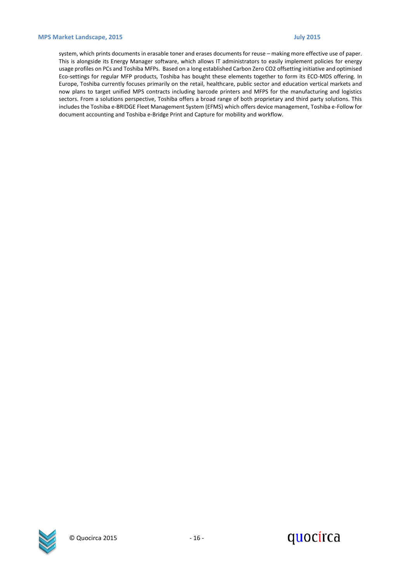system, which prints documents in erasable toner and erases documents for reuse – making more effective use of paper. This is alongside its Energy Manager software, which allows IT administrators to easily implement policies for energy usage profiles on PCs and Toshiba MFPs. Based on a long established Carbon Zero CO2 offsetting initiative and optimised Eco-settings for regular MFP products, Toshiba has bought these elements together to form its ECO-MDS offering. In Europe, Toshiba currently focuses primarily on the retail, healthcare, public sector and education vertical markets and now plans to target unified MPS contracts including barcode printers and MFPS for the manufacturing and logistics sectors. From a solutions perspective, Toshiba offers a broad range of both proprietary and third party solutions. This includes the Toshiba e-BRIDGE Fleet Management System (EFMS) which offers device management, Toshiba e-Follow for document accounting and Toshiba e-Bridge Print and Capture for mobility and workflow.